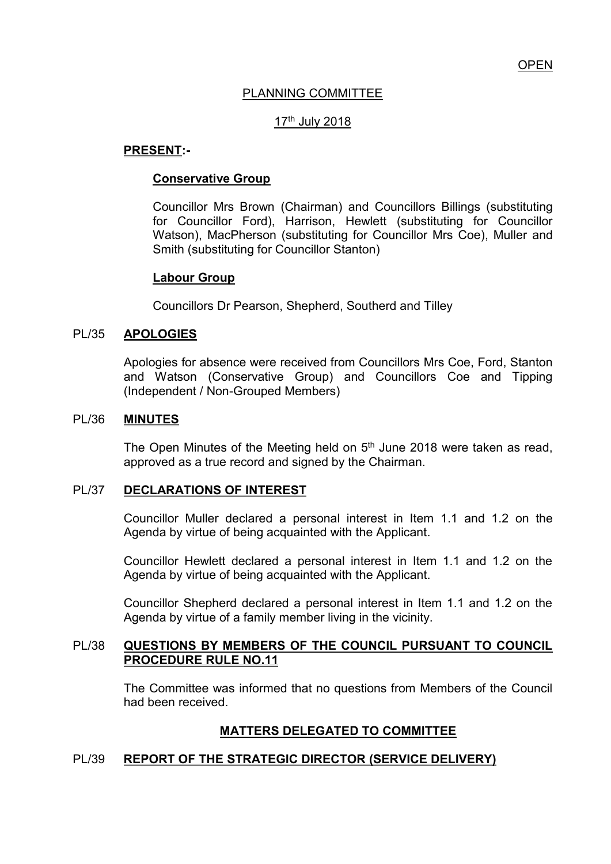# PLANNING COMMITTEE

## 17th July 2018

#### **PRESENT:-**

#### **Conservative Group**

Councillor Mrs Brown (Chairman) and Councillors Billings (substituting for Councillor Ford), Harrison, Hewlett (substituting for Councillor Watson), MacPherson (substituting for Councillor Mrs Coe), Muller and Smith (substituting for Councillor Stanton)

#### **Labour Group**

Councillors Dr Pearson, Shepherd, Southerd and Tilley

#### PL/35 **APOLOGIES**

Apologies for absence were received from Councillors Mrs Coe, Ford, Stanton and Watson (Conservative Group) and Councillors Coe and Tipping (Independent / Non-Grouped Members)

#### PL/36 **MINUTES**

The Open Minutes of the Meeting held on  $5<sup>th</sup>$  June 2018 were taken as read, approved as a true record and signed by the Chairman.

#### PL/37 **DECLARATIONS OF INTEREST**

 Councillor Muller declared a personal interest in Item 1.1 and 1.2 on the Agenda by virtue of being acquainted with the Applicant.

 Councillor Hewlett declared a personal interest in Item 1.1 and 1.2 on the Agenda by virtue of being acquainted with the Applicant.

 Councillor Shepherd declared a personal interest in Item 1.1 and 1.2 on the Agenda by virtue of a family member living in the vicinity.

#### PL/38 **QUESTIONS BY MEMBERS OF THE COUNCIL PURSUANT TO COUNCIL PROCEDURE RULE NO.11**

 The Committee was informed that no questions from Members of the Council had been received.

## **MATTERS DELEGATED TO COMMITTEE**

## PL/39 **REPORT OF THE STRATEGIC DIRECTOR (SERVICE DELIVERY)**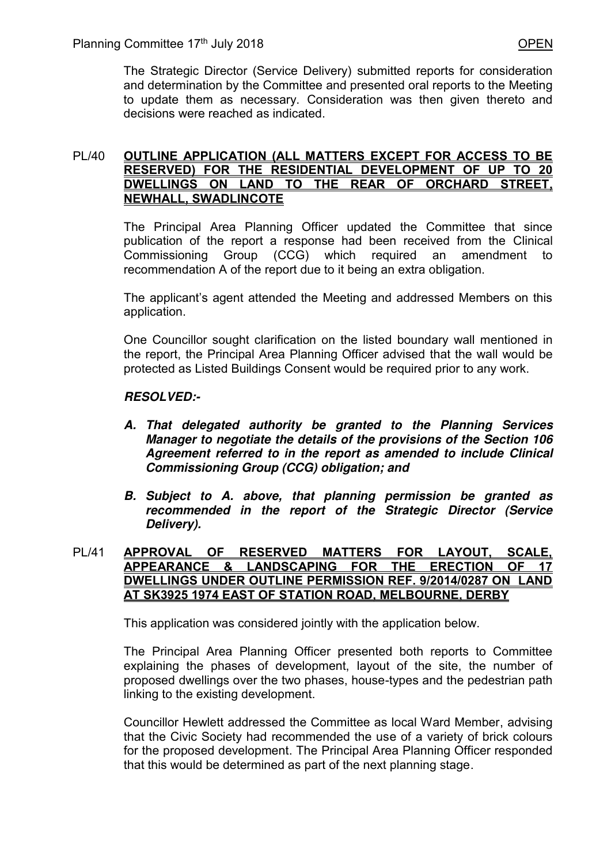The Strategic Director (Service Delivery) submitted reports for consideration and determination by the Committee and presented oral reports to the Meeting to update them as necessary. Consideration was then given thereto and decisions were reached as indicated.

## PL/40 **OUTLINE APPLICATION (ALL MATTERS EXCEPT FOR ACCESS TO BE RESERVED) FOR THE RESIDENTIAL DEVELOPMENT OF UP TO 20 DWELLINGS ON LAND TO THE REAR OF ORCHARD STREET, NEWHALL, SWADLINCOTE**

The Principal Area Planning Officer updated the Committee that since publication of the report a response had been received from the Clinical Commissioning Group (CCG) which required an amendment to recommendation A of the report due to it being an extra obligation.

The applicant's agent attended the Meeting and addressed Members on this application.

One Councillor sought clarification on the listed boundary wall mentioned in the report, the Principal Area Planning Officer advised that the wall would be protected as Listed Buildings Consent would be required prior to any work.

# *RESOLVED:-*

- *A. That delegated authority be granted to the Planning Services Manager to negotiate the details of the provisions of the Section 106 Agreement referred to in the report as amended to include Clinical Commissioning Group (CCG) obligation; and*
- *B. Subject to A. above, that planning permission be granted as recommended in the report of the Strategic Director (Service Delivery).*

#### PL/41 **APPROVAL OF RESERVED MATTERS FOR LAYOUT, SCALE, APPEARANCE & LANDSCAPING FOR THE ERECTION OF 17 DWELLINGS UNDER OUTLINE PERMISSION REF. 9/2014/0287 ON LAND AT SK3925 1974 EAST OF STATION ROAD, MELBOURNE, DERBY**

This application was considered jointly with the application below.

The Principal Area Planning Officer presented both reports to Committee explaining the phases of development, layout of the site, the number of proposed dwellings over the two phases, house-types and the pedestrian path linking to the existing development.

Councillor Hewlett addressed the Committee as local Ward Member, advising that the Civic Society had recommended the use of a variety of brick colours for the proposed development. The Principal Area Planning Officer responded that this would be determined as part of the next planning stage.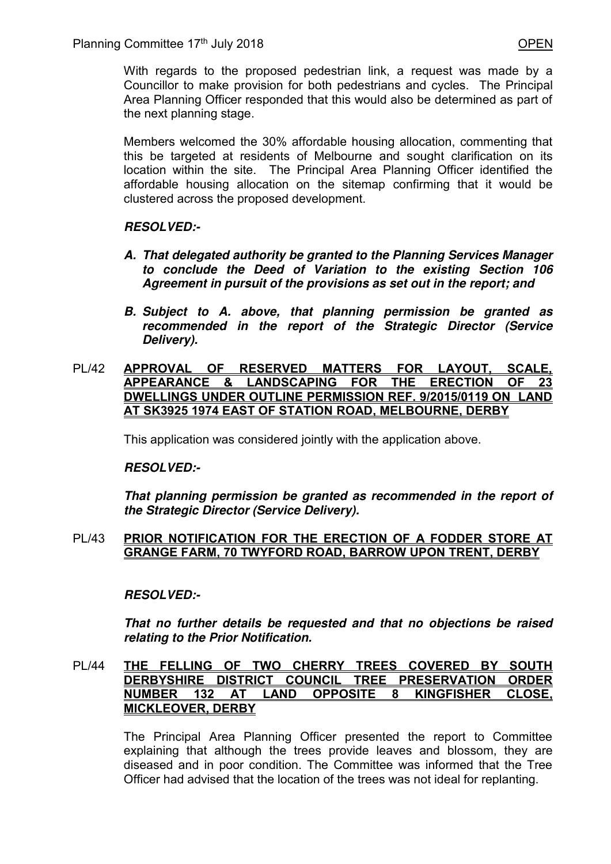With regards to the proposed pedestrian link, a request was made by a Councillor to make provision for both pedestrians and cycles. The Principal Area Planning Officer responded that this would also be determined as part of the next planning stage.

Members welcomed the 30% affordable housing allocation, commenting that this be targeted at residents of Melbourne and sought clarification on its location within the site. The Principal Area Planning Officer identified the affordable housing allocation on the sitemap confirming that it would be clustered across the proposed development.

# *RESOLVED:-*

- *A. That delegated authority be granted to the Planning Services Manager to conclude the Deed of Variation to the existing Section 106 Agreement in pursuit of the provisions as set out in the report; and*
- *B. Subject to A. above, that planning permission be granted as recommended in the report of the Strategic Director (Service Delivery).*

## PL/42 **APPROVAL OF RESERVED MATTERS FOR LAYOUT, SCALE, APPEARANCE & LANDSCAPING FOR THE ERECTION OF 23 DWELLINGS UNDER OUTLINE PERMISSION REF. 9/2015/0119 ON LAND AT SK3925 1974 EAST OF STATION ROAD, MELBOURNE, DERBY**

This application was considered jointly with the application above.

## *RESOLVED:-*

*That planning permission be granted as recommended in the report of the Strategic Director (Service Delivery).* 

## PL/43 **PRIOR NOTIFICATION FOR THE ERECTION OF A FODDER STORE AT GRANGE FARM, 70 TWYFORD ROAD, BARROW UPON TRENT, DERBY**

# *RESOLVED:-*

*That no further details be requested and that no objections be raised relating to the Prior Notification.* 

## PL/44 **THE FELLING OF TWO CHERRY TREES COVERED BY SOUTH DERBYSHIRE DISTRICT COUNCIL TREE PRESERVATION ORDER NUMBER 132 AT LAND OPPOSITE 8 KINGFISHER CLOSE, MICKLEOVER, DERBY**

 The Principal Area Planning Officer presented the report to Committee explaining that although the trees provide leaves and blossom, they are diseased and in poor condition. The Committee was informed that the Tree Officer had advised that the location of the trees was not ideal for replanting.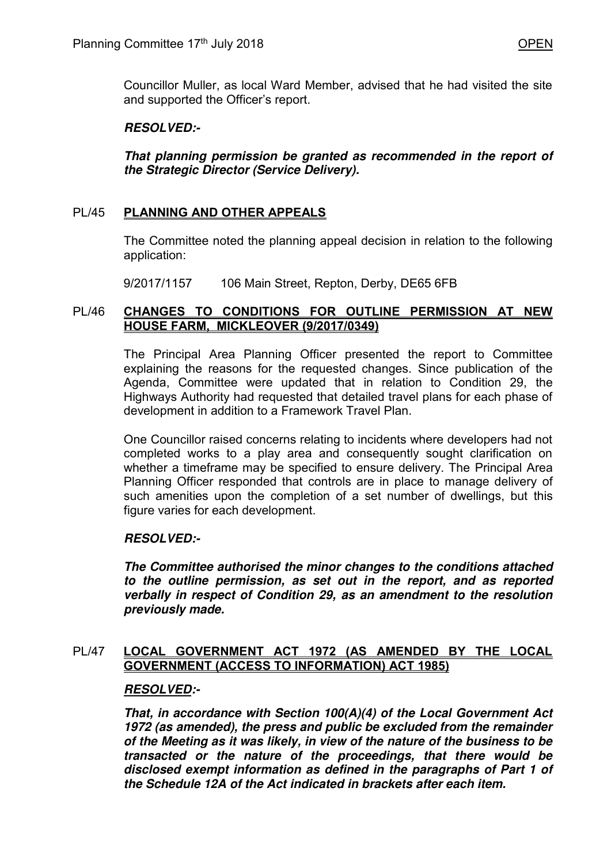Councillor Muller, as local Ward Member, advised that he had visited the site and supported the Officer's report.

# *RESOLVED:-*

*That planning permission be granted as recommended in the report of the Strategic Director (Service Delivery).* 

# PL/45 **PLANNING AND OTHER APPEALS**

 The Committee noted the planning appeal decision in relation to the following application:

9/2017/1157 106 Main Street, Repton, Derby, DE65 6FB

## PL/46 **CHANGES TO CONDITIONS FOR OUTLINE PERMISSION AT NEW HOUSE FARM, MICKLEOVER (9/2017/0349)**

 The Principal Area Planning Officer presented the report to Committee explaining the reasons for the requested changes. Since publication of the Agenda, Committee were updated that in relation to Condition 29, the Highways Authority had requested that detailed travel plans for each phase of development in addition to a Framework Travel Plan.

 One Councillor raised concerns relating to incidents where developers had not completed works to a play area and consequently sought clarification on whether a timeframe may be specified to ensure delivery. The Principal Area Planning Officer responded that controls are in place to manage delivery of such amenities upon the completion of a set number of dwellings, but this figure varies for each development.

## *RESOLVED:-*

*The Committee authorised the minor changes to the conditions attached to the outline permission, as set out in the report, and as reported verbally in respect of Condition 29, as an amendment to the resolution previously made.*

## PL/47 **LOCAL GOVERNMENT ACT 1972 (AS AMENDED BY THE LOCAL GOVERNMENT (ACCESS TO INFORMATION) ACT 1985)**

## *RESOLVED:-*

*That, in accordance with Section 100(A)(4) of the Local Government Act 1972 (as amended), the press and public be excluded from the remainder of the Meeting as it was likely, in view of the nature of the business to be transacted or the nature of the proceedings, that there would be disclosed exempt information as defined in the paragraphs of Part 1 of the Schedule 12A of the Act indicated in brackets after each item.*